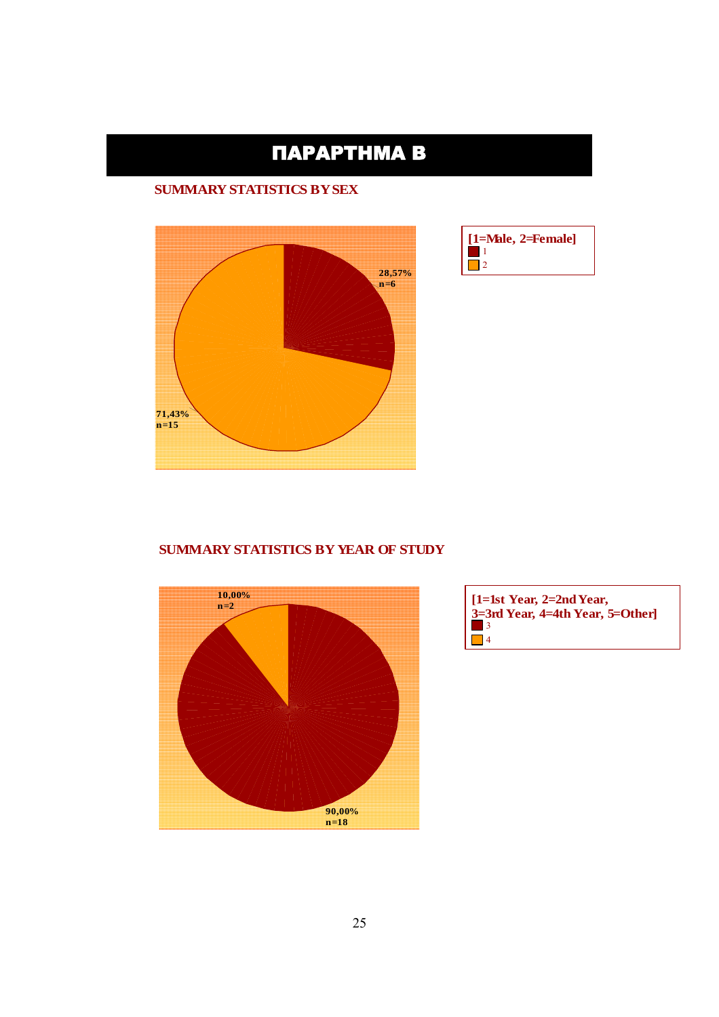# ΠΑΡΑΡΤΗΜΑ Β

#### **SUMMARY STATISTICS BY SEX**





#### **SUMMARY STATISTICS BY YEAR OF STUDY**



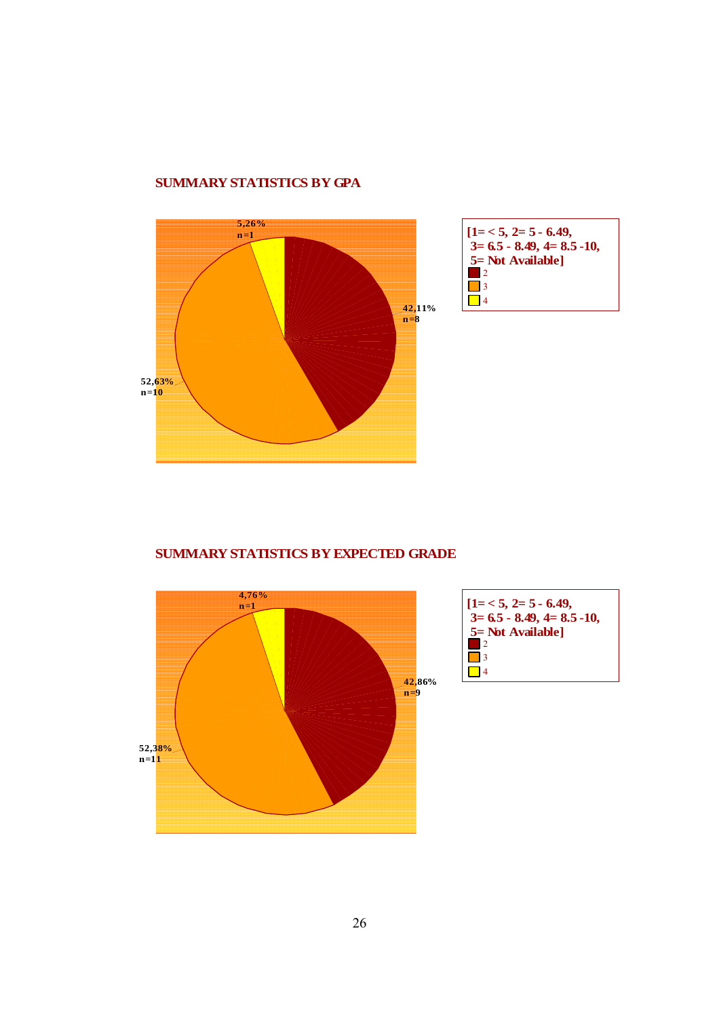#### **SUMMARY STATISTICS BY GPA**



#### **SUMMARY STATISTICS BY EXPECTED GRADE**



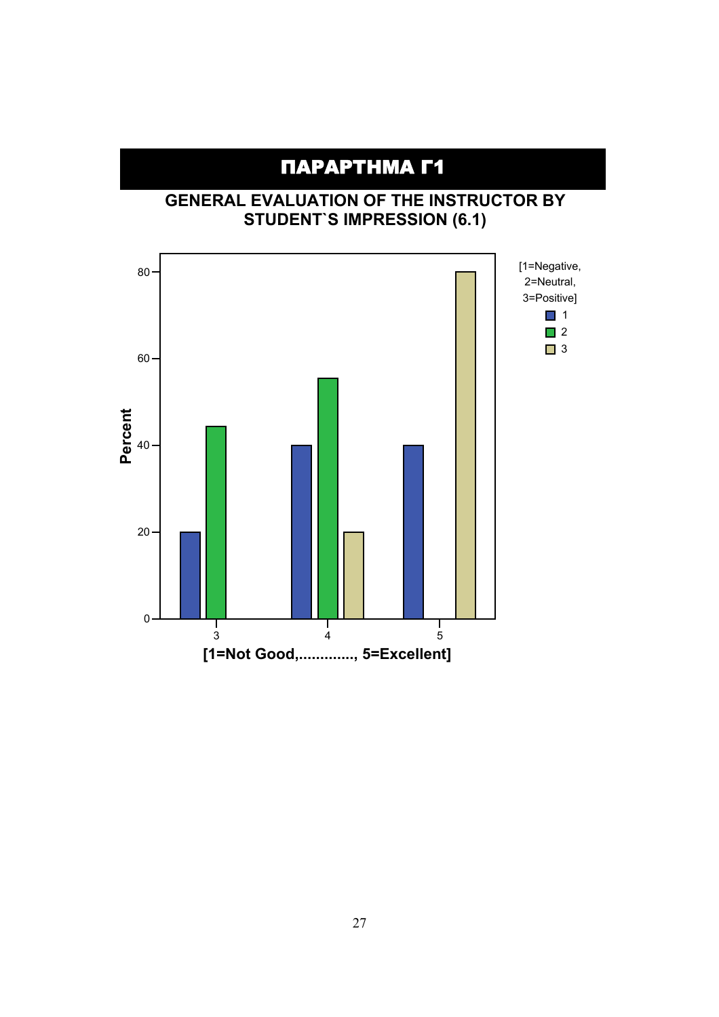# ΠΑΡΑΡΤΗΜΑ Γ1

ΠΑΡΑΡΤΗΜΑ Β

### **GENERAL EVALUATION OF THE INSTRUCTOR BY STUDENT`S IMPRESSION (6.1)**

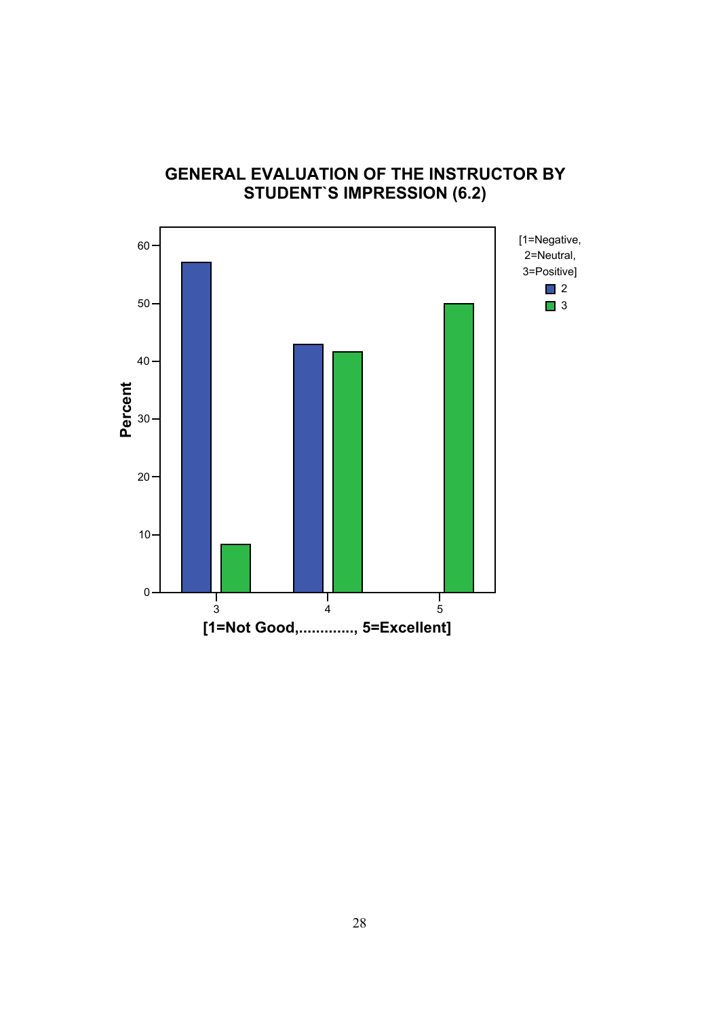

### **GENERAL EVALUATION OF THE INSTRUCTOR BY STUDENT`S IMPRESSION (6.2)**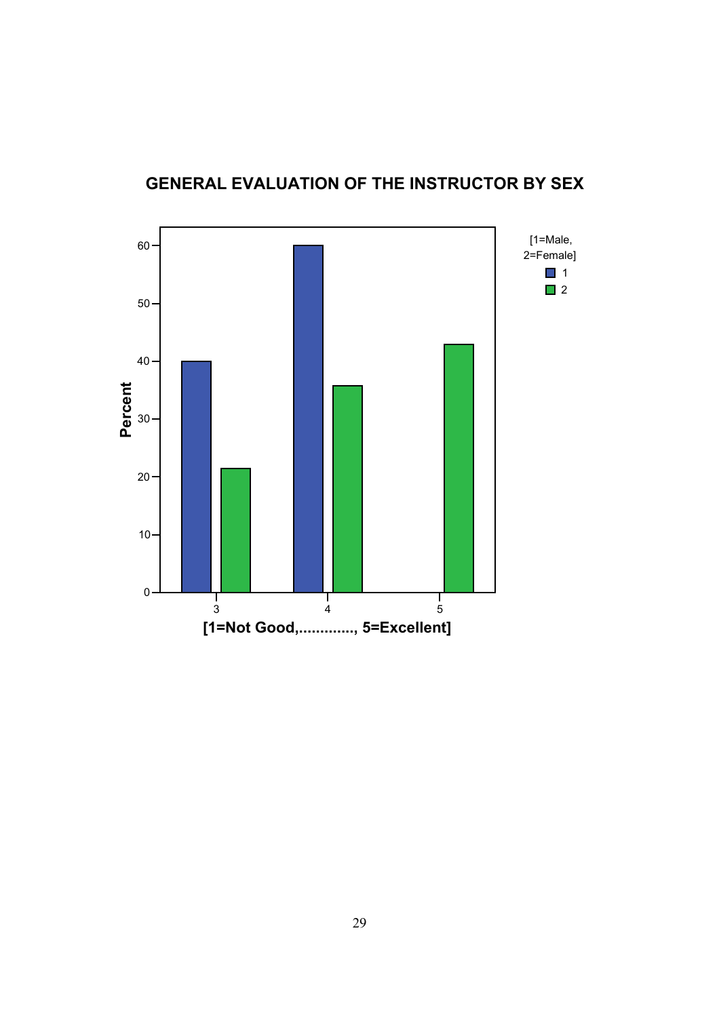

## **GENERAL EVALUATION OF THE INSTRUCTOR BY SEX**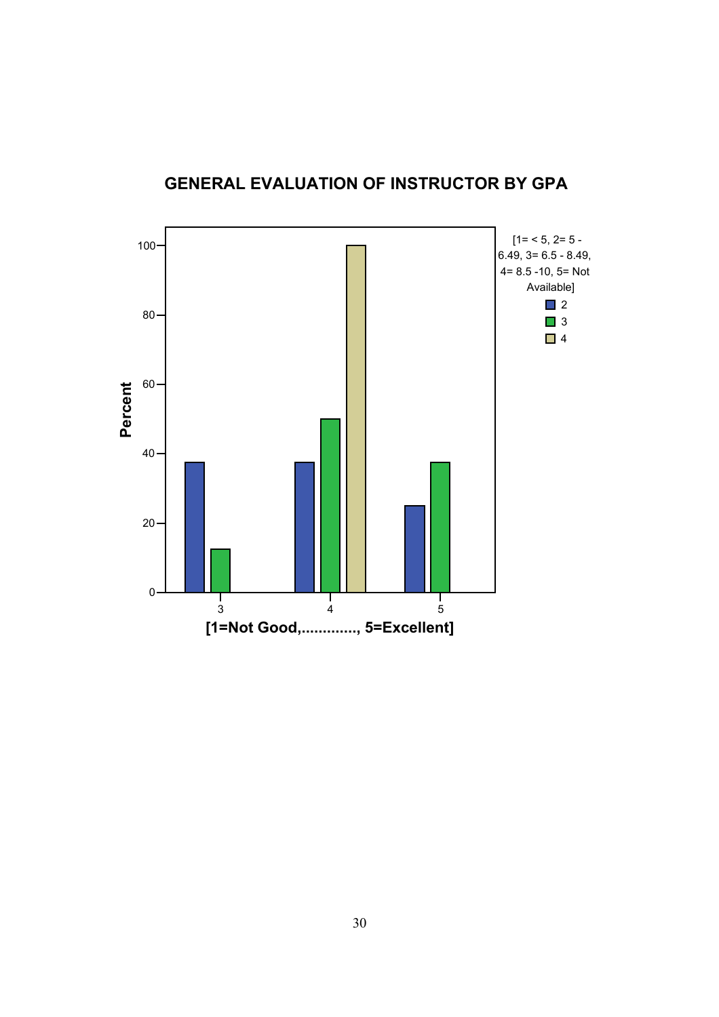

## **GENERAL EVALUATION OF INSTRUCTOR BY GPA**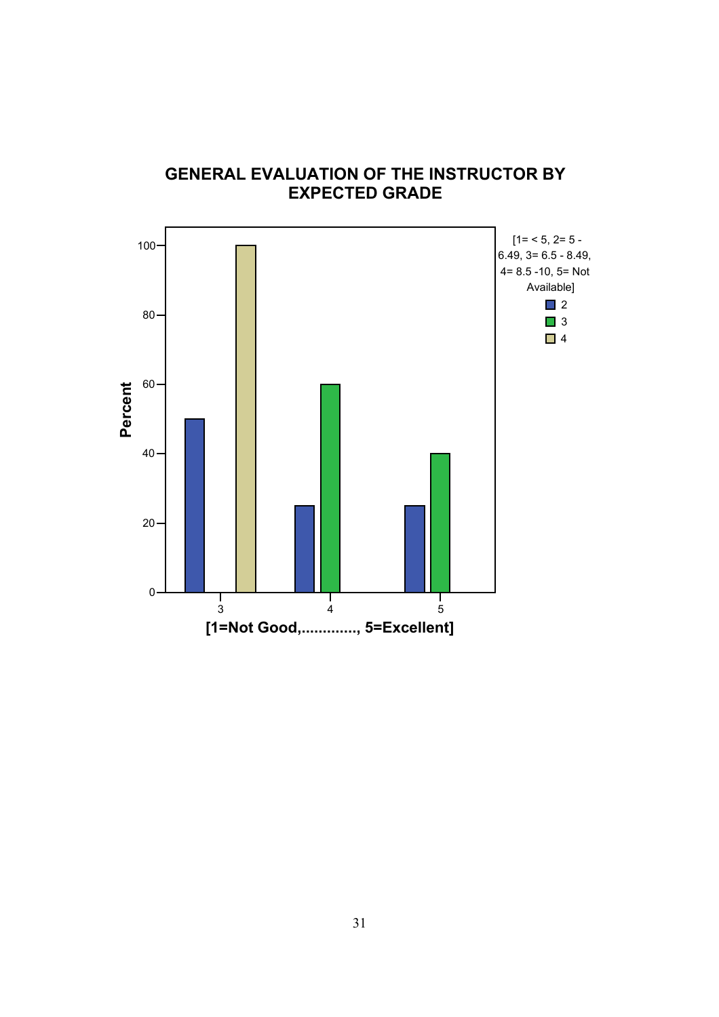

### **GENERAL EVALUATION OF THE INSTRUCTOR BY EXPECTED GRADE**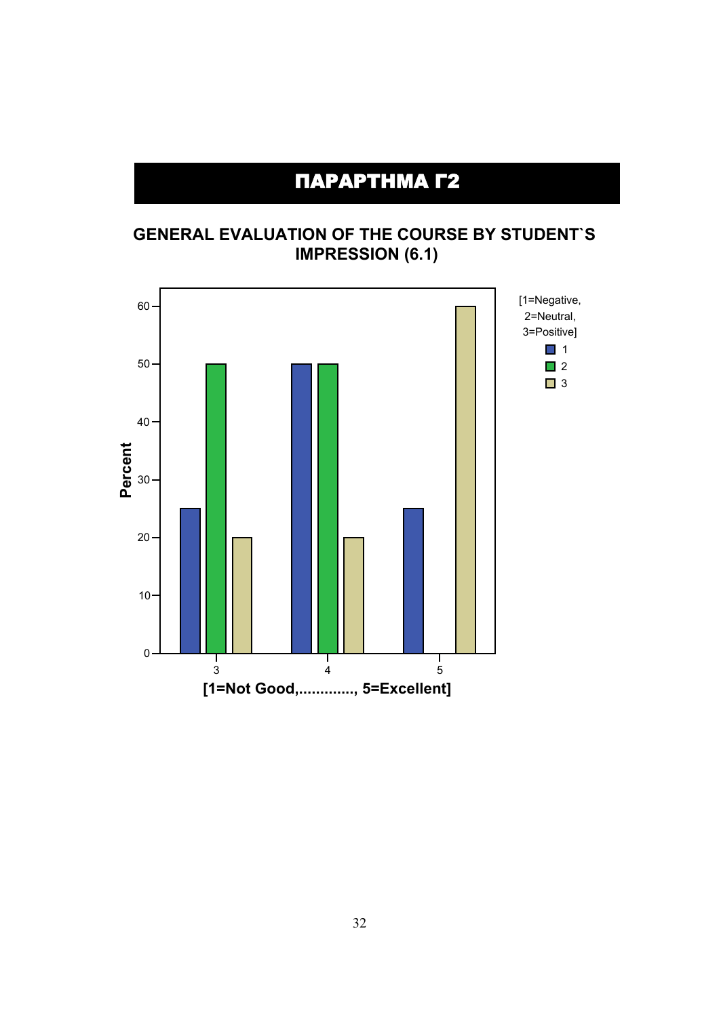# ΠΑΡΑΡΤΗΜΑ Γ2

### **GENERAL EVALUATION OF THE COURSE BY STUDENT`S IMPRESSION (6.1)**

![](_page_7_Figure_2.jpeg)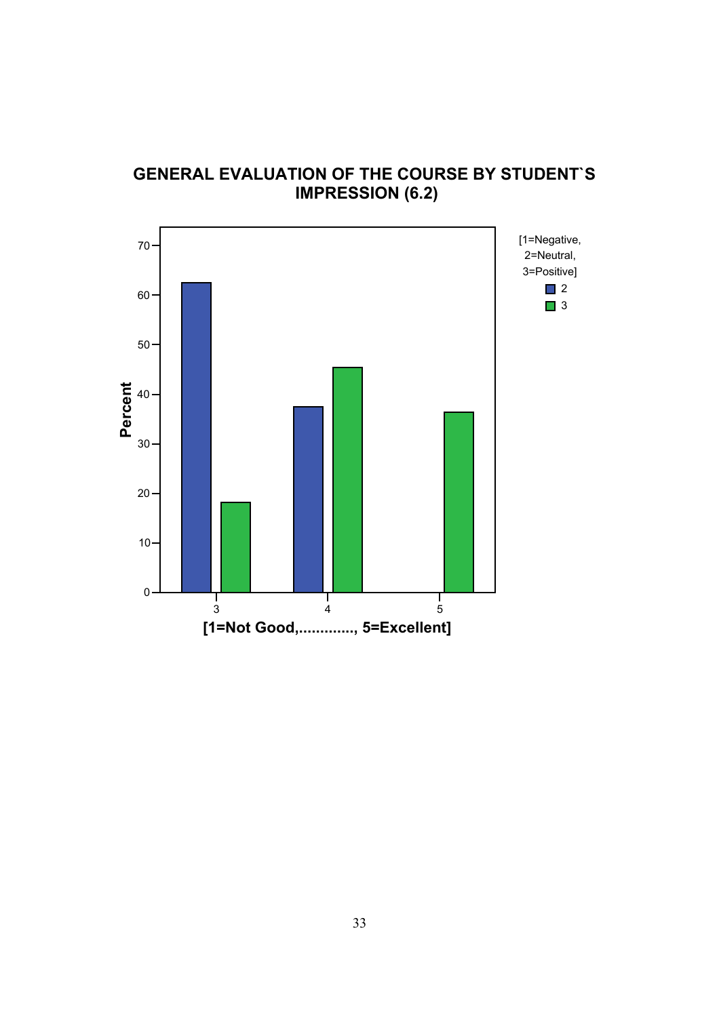![](_page_8_Figure_0.jpeg)

**GENERAL EVALUATION OF THE COURSE BY STUDENT`S IMPRESSION (6.2)**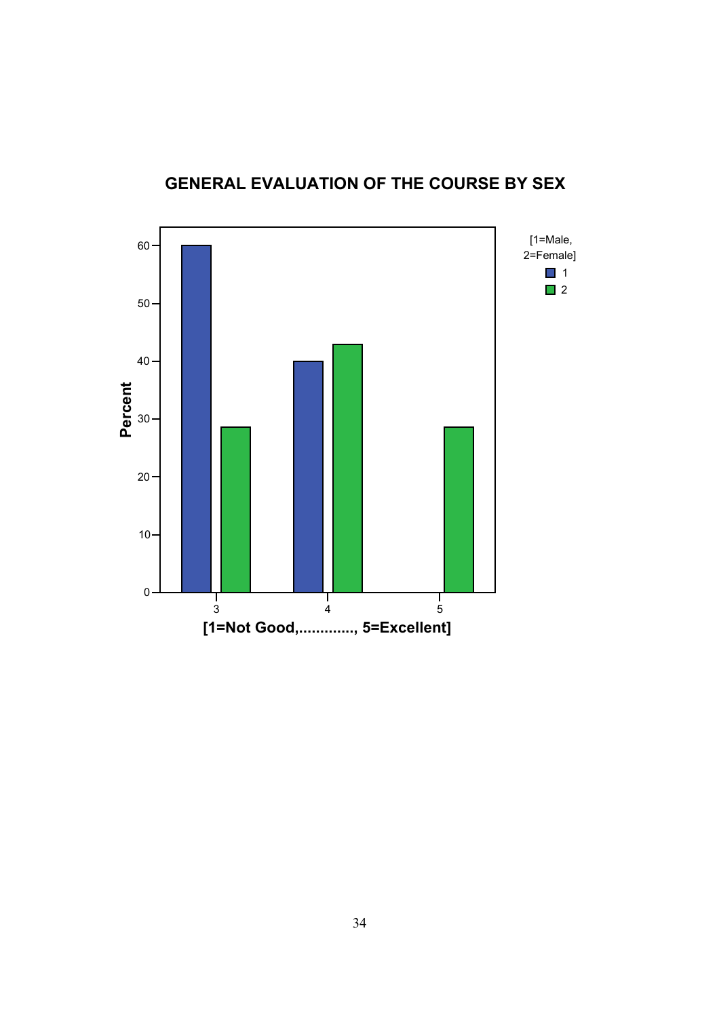![](_page_9_Figure_0.jpeg)

## **GENERAL EVALUATION OF THE COURSE BY SEX**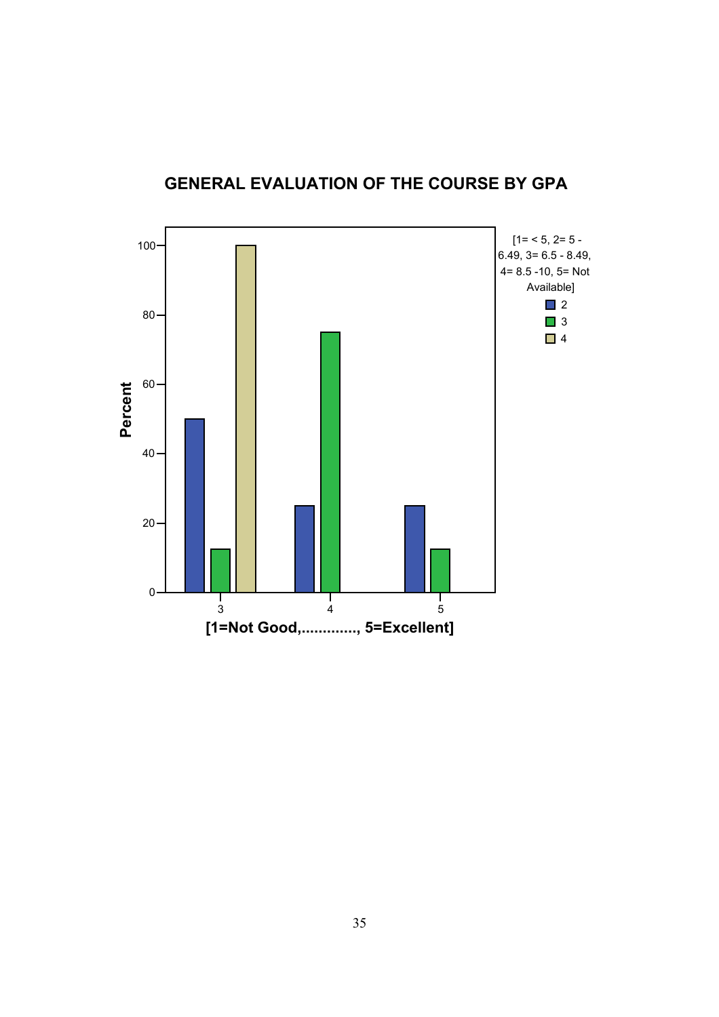![](_page_10_Figure_0.jpeg)

## **GENERAL EVALUATION OF THE COURSE BY GPA**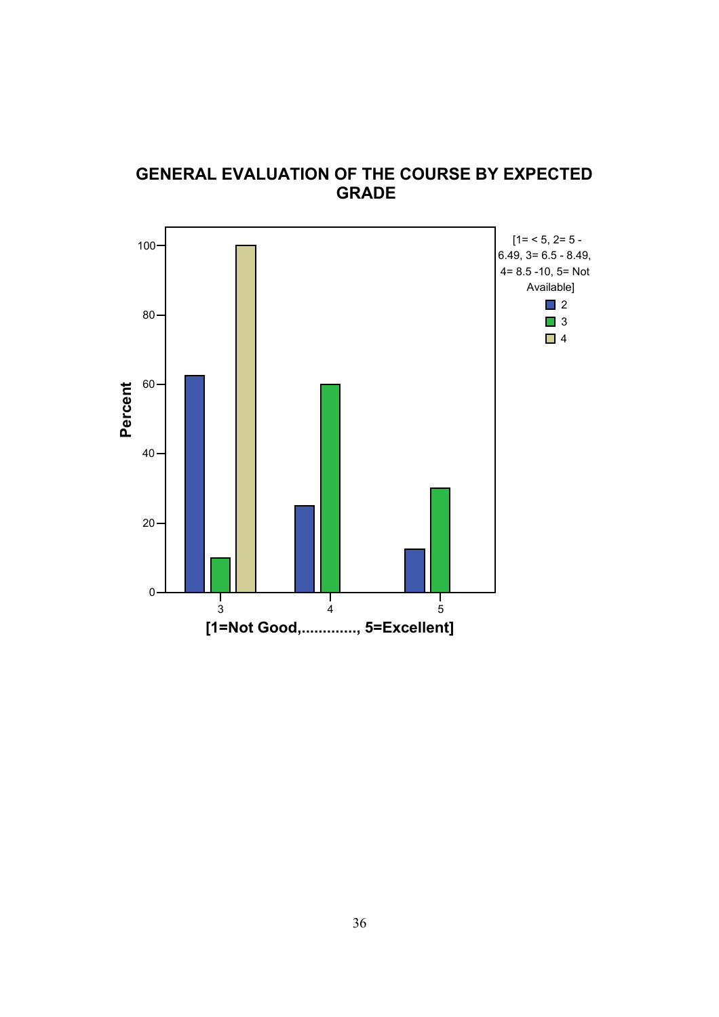![](_page_11_Figure_0.jpeg)

**GENERAL EVALUATION OF THE COURSE BY EXPECTED GRADE**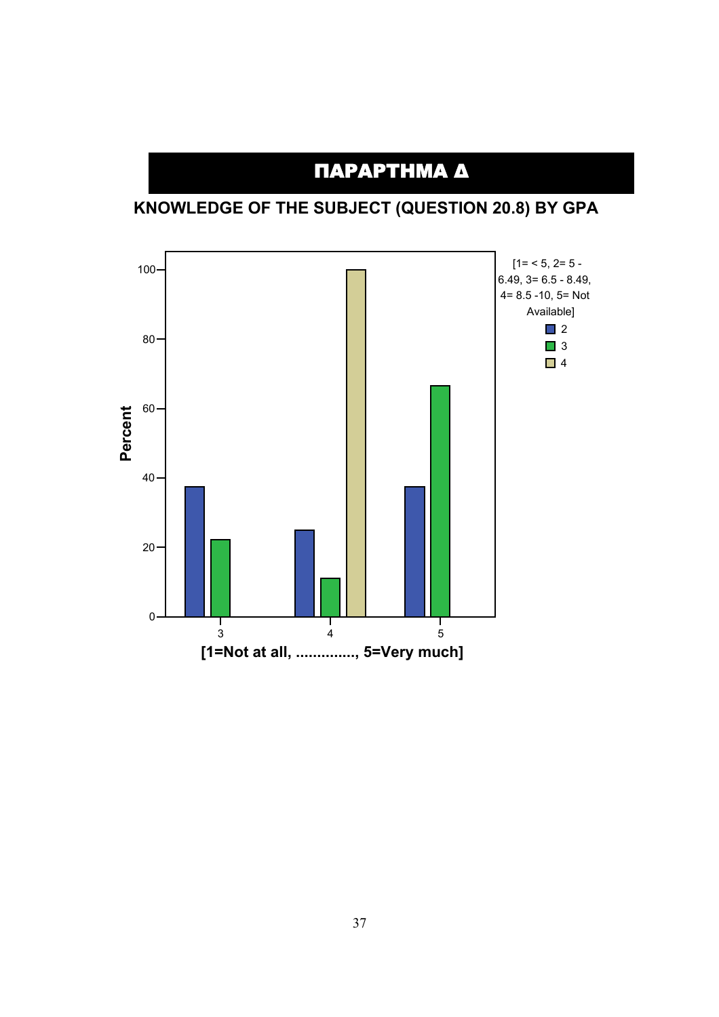# ΠΑΡΑΡΤΗΜΑ Δ

**KNOWLEDGE OF THE SUBJECT (QUESTION 20.8) BY GPA**

![](_page_12_Figure_2.jpeg)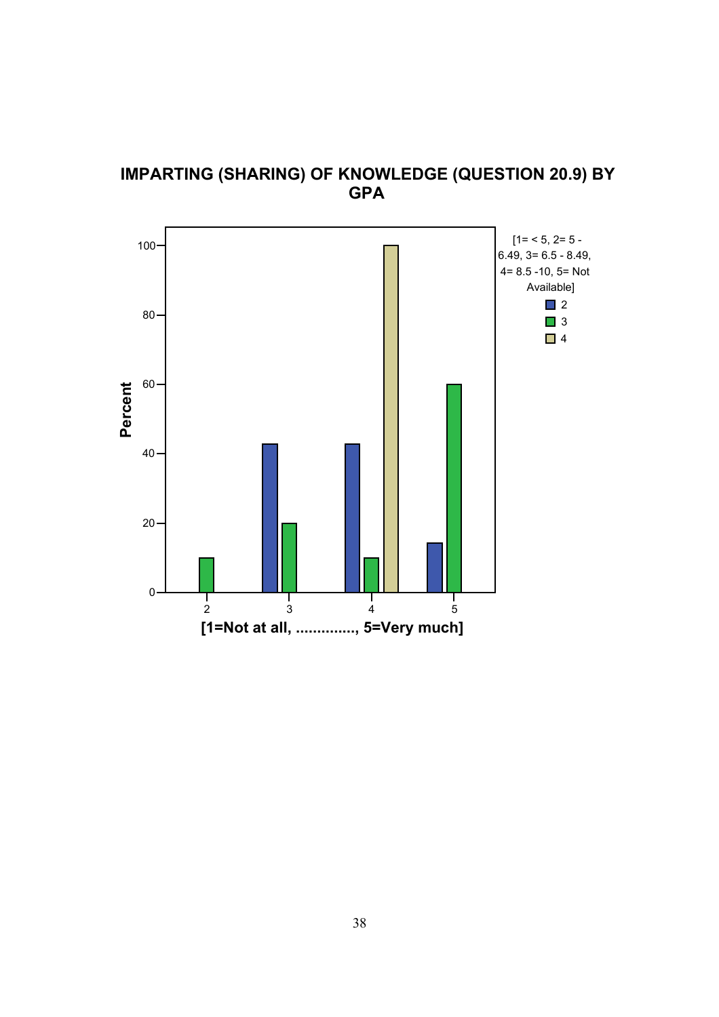![](_page_13_Figure_0.jpeg)

![](_page_13_Figure_1.jpeg)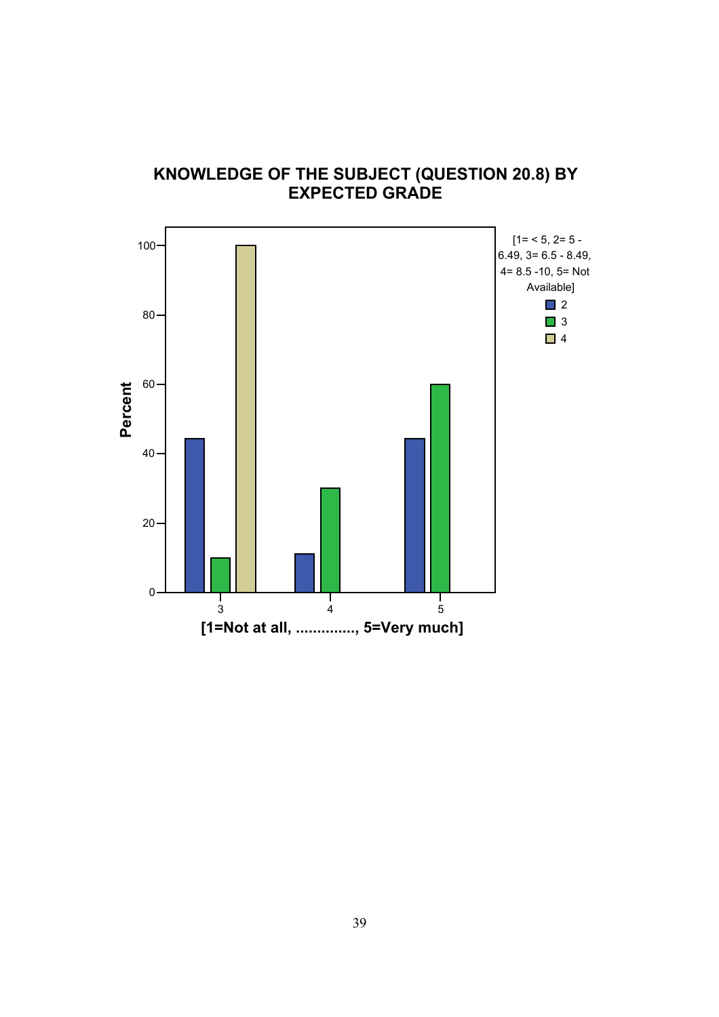![](_page_14_Figure_0.jpeg)

#### **KNOWLEDGE OF THE SUBJECT (QUESTION 20.8) BY EXPECTED GRADE**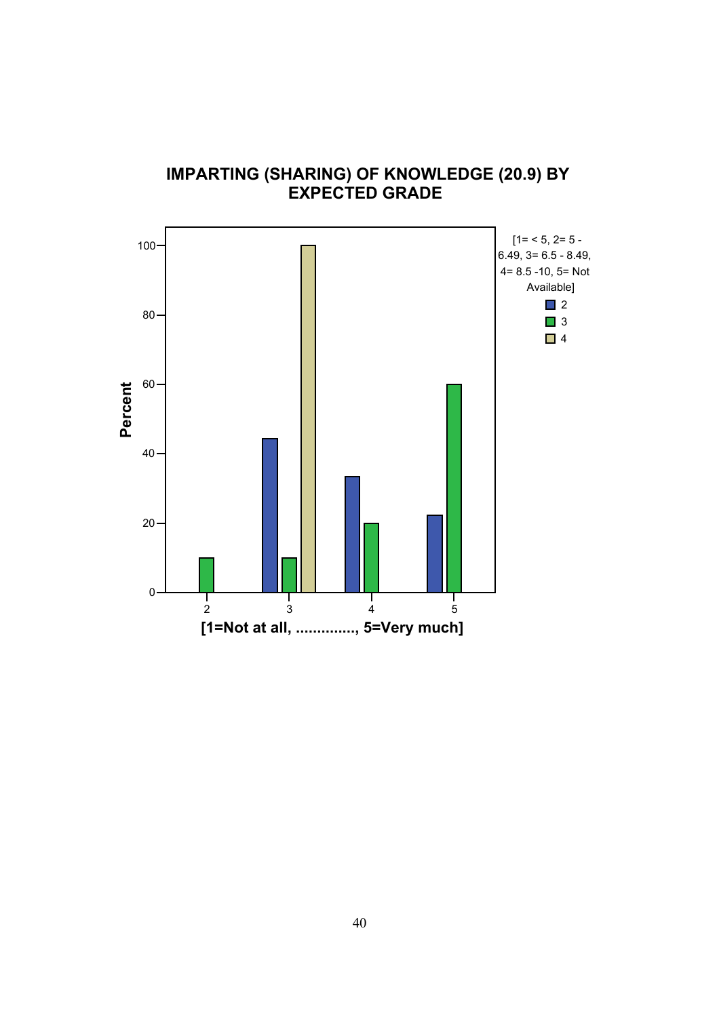![](_page_15_Figure_0.jpeg)

#### **IMPARTING (SHARING) OF KNOWLEDGE (20.9) BY EXPECTED GRADE**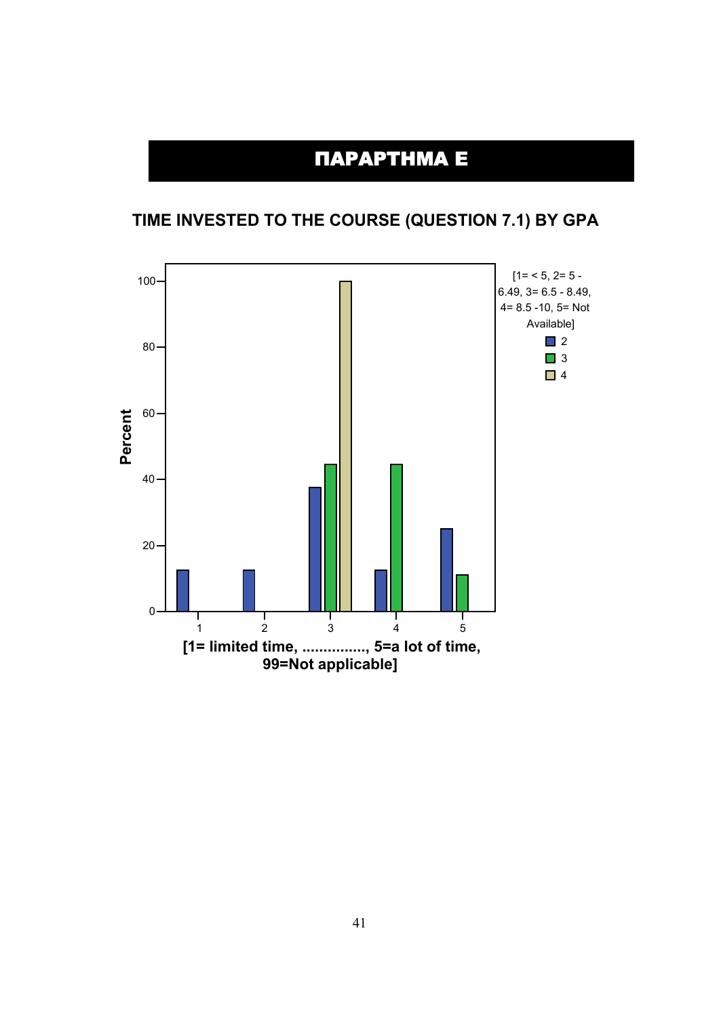# ΠΑΡΑΡΤΗΜΑ Ε

## **TIME INVESTED TO THE COURSE (QUESTION 7.1) BY GPA**

![](_page_16_Figure_2.jpeg)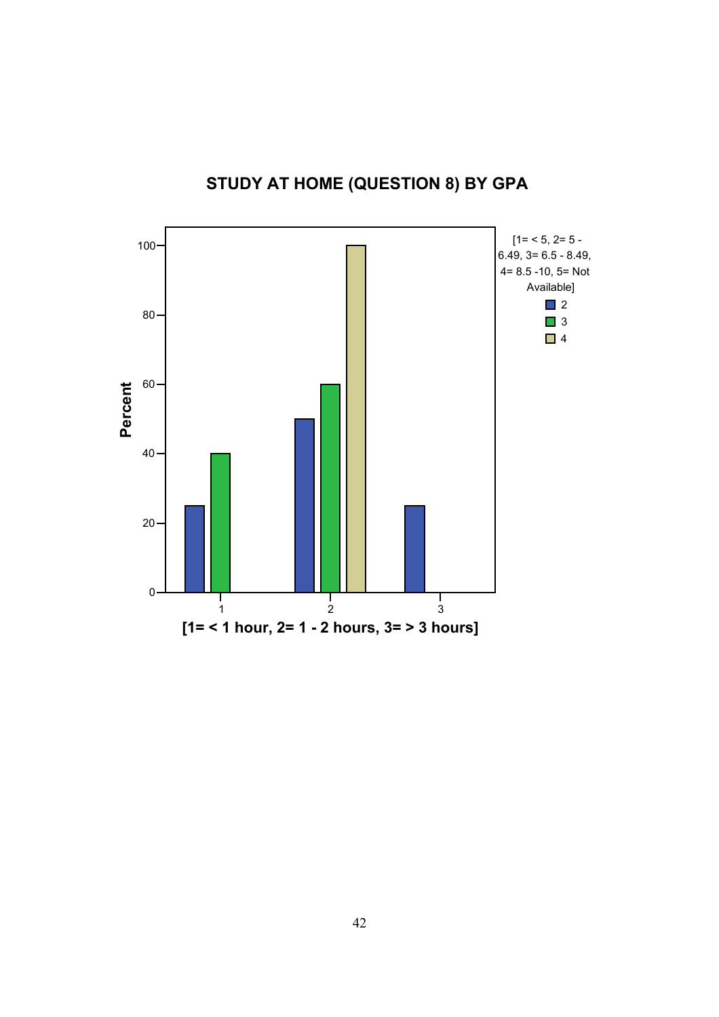![](_page_17_Figure_0.jpeg)

## **STUDY AT HOME (QUESTION 8) BY GPA**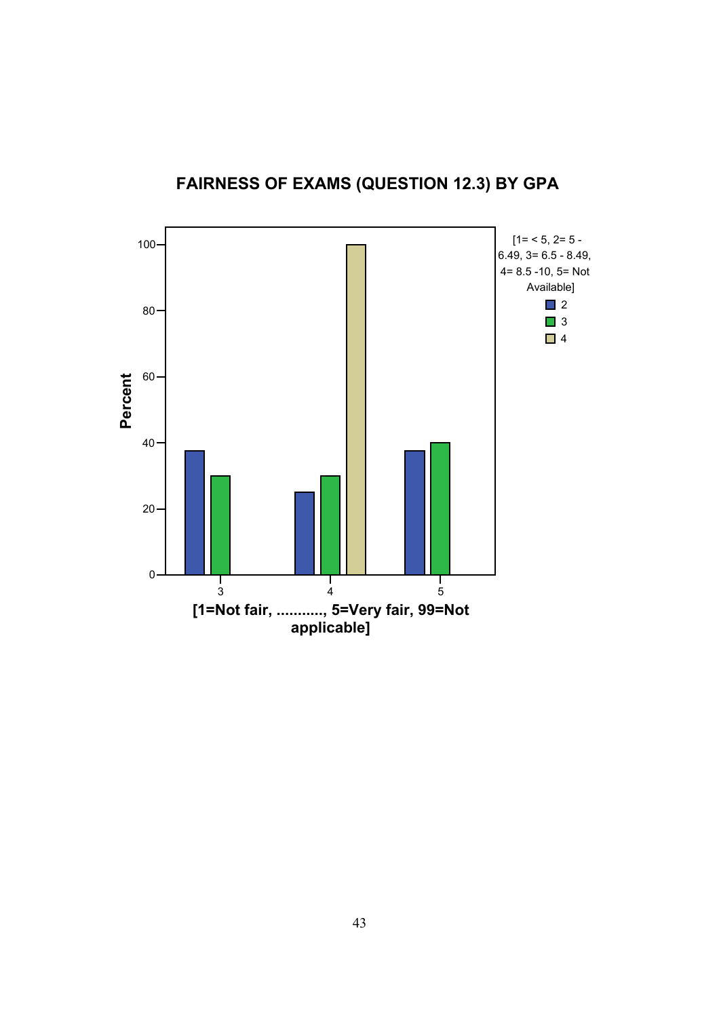![](_page_18_Figure_0.jpeg)

![](_page_18_Figure_1.jpeg)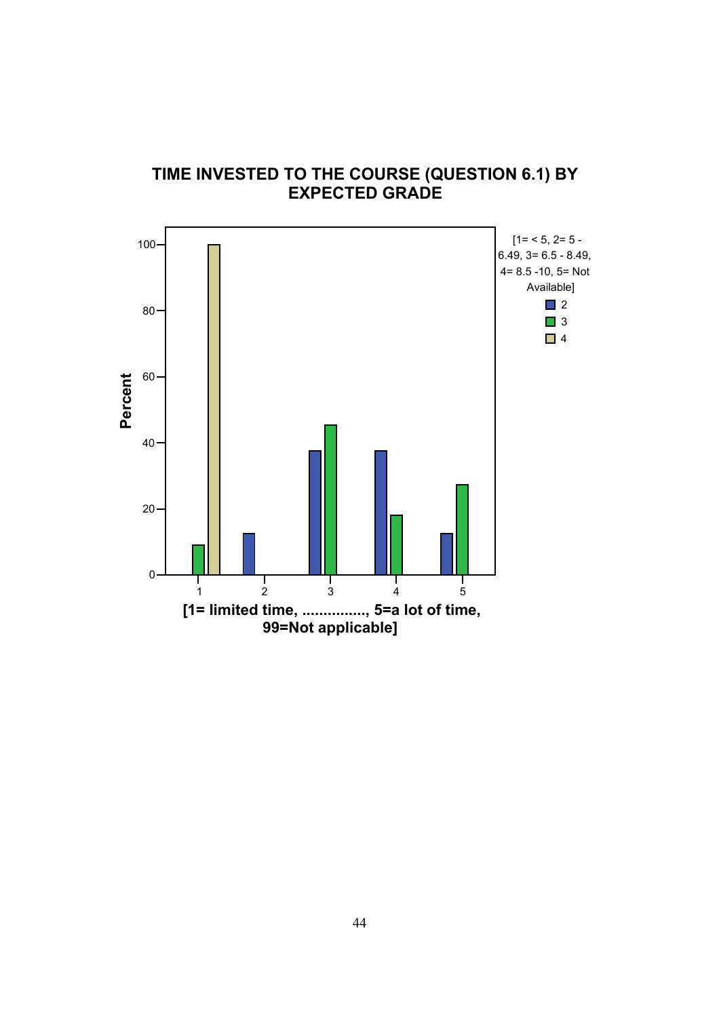![](_page_19_Figure_0.jpeg)

### **TIME INVESTED TO THE COURSE (QUESTION 6.1) BY EXPECTED GRADE**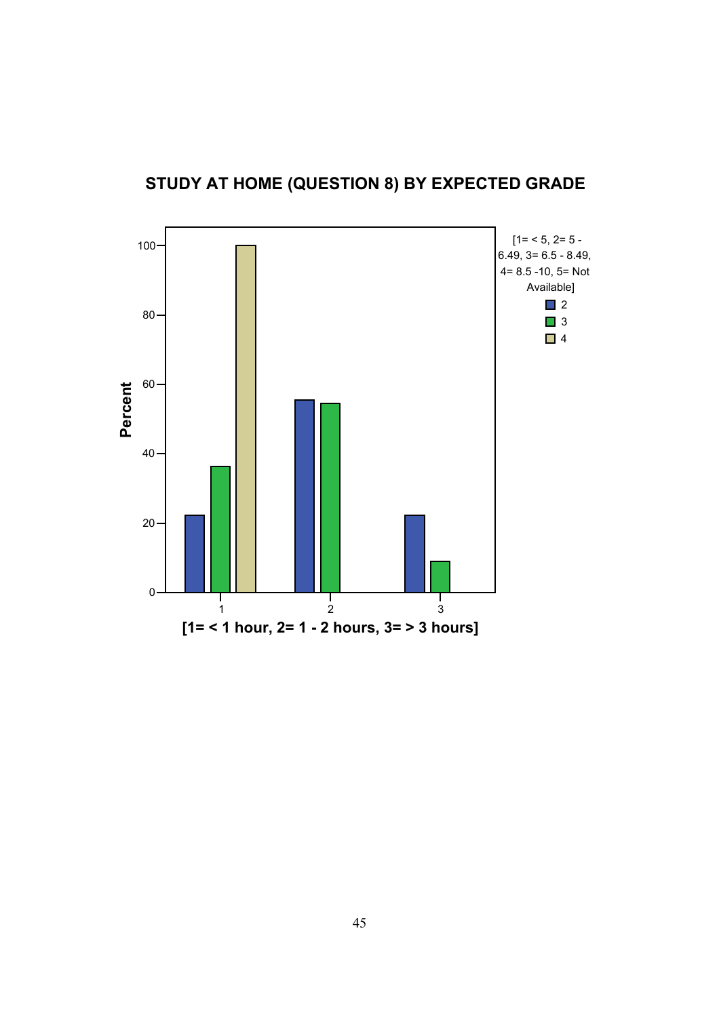![](_page_20_Figure_0.jpeg)

**STUDY AT HOME (QUESTION 8) BY EXPECTED GRADE**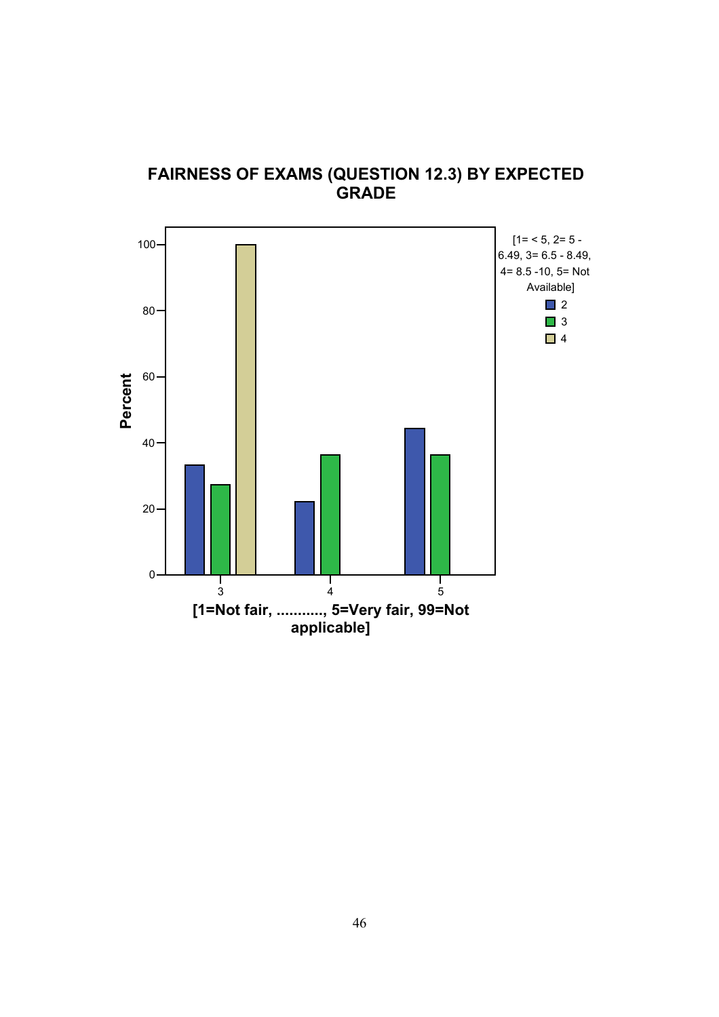![](_page_21_Figure_0.jpeg)

#### **FAIRNESS OF EXAMS (QUESTION 12.3) BY EXPECTED GRADE**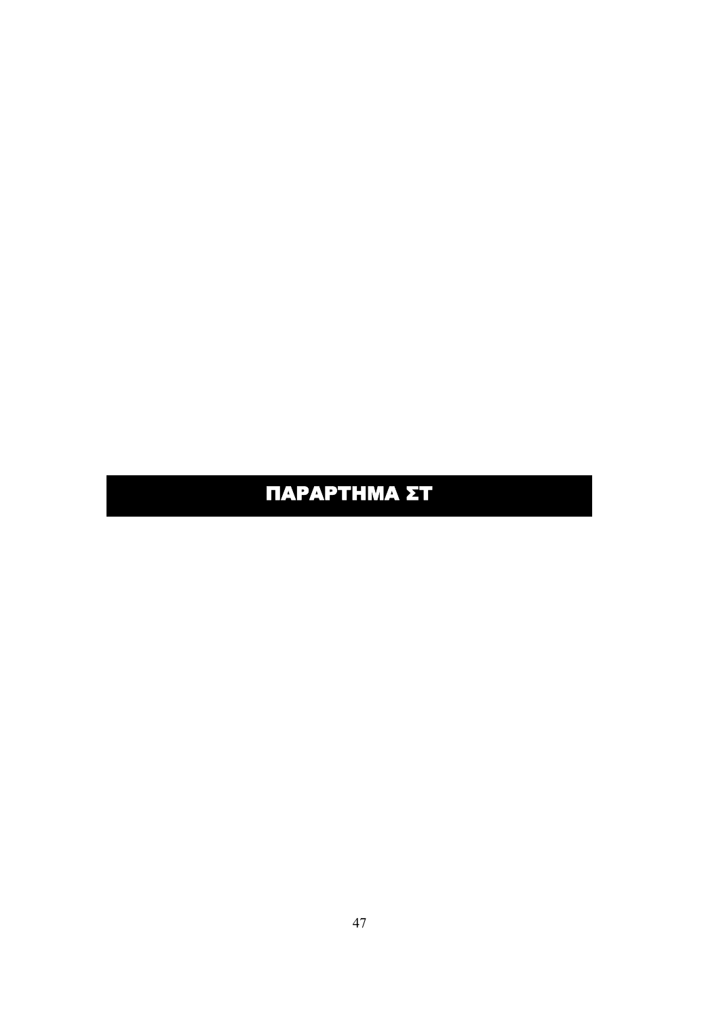# ΠΑΡΑΡΤΗΜΑ ΣΤ